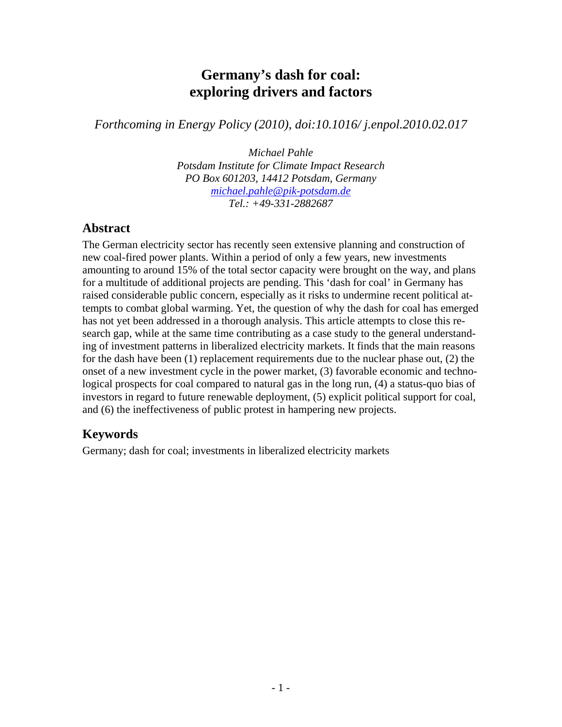# **Germany's dash for coal: exploring drivers and factors**

*Forthcoming in Energy Policy (2010), doi:10.1016/ j.enpol.2010.02.017*

*Michael Pahle Potsdam Institute for Climate Impact Research PO Box 601203, 14412 Potsdam, Germany [michael.pahle@pik-potsdam.de](mailto:michael.pahle@pik-potsdam.de) Tel.: +49-331-2882687* 

## **Abstract**

The German electricity sector has recently seen extensive planning and construction of new coal-fired power plants. Within a period of only a few years, new investments amounting to around 15% of the total sector capacity were brought on the way, and plans for a multitude of additional projects are pending. This 'dash for coal' in Germany has raised considerable public concern, especially as it risks to undermine recent political attempts to combat global warming. Yet, the question of why the dash for coal has emerged has not yet been addressed in a thorough analysis. This article attempts to close this research gap, while at the same time contributing as a case study to the general understanding of investment patterns in liberalized electricity markets. It finds that the main reasons for the dash have been (1) replacement requirements due to the nuclear phase out, (2) the onset of a new investment cycle in the power market, (3) favorable economic and technological prospects for coal compared to natural gas in the long run, (4) a status-quo bias of investors in regard to future renewable deployment, (5) explicit political support for coal, and (6) the ineffectiveness of public protest in hampering new projects.

## **Keywords**

Germany; dash for coal; investments in liberalized electricity markets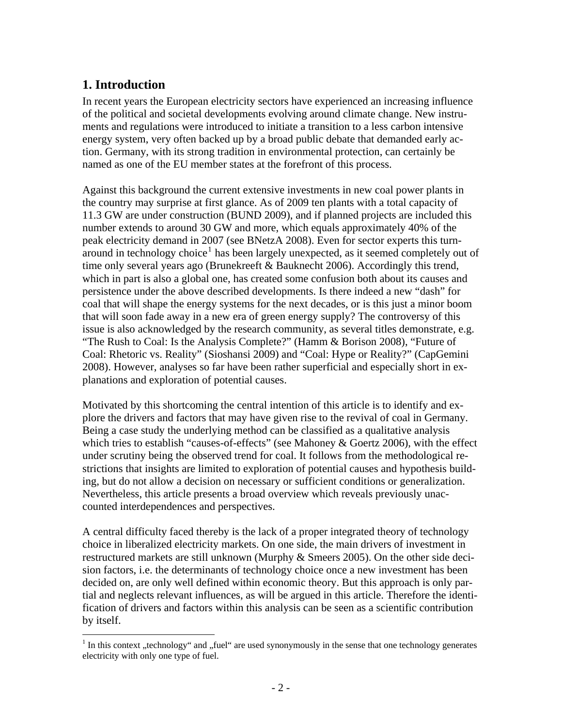# **1. Introduction**

 $\overline{a}$ 

In recent years the European electricity sectors have experienced an increasing influence of the political and societal developments evolving around climate change. New instruments and regulations were introduced to initiate a transition to a less carbon intensive energy system, very often backed up by a broad public debate that demanded early action. Germany, with its strong tradition in environmental protection, can certainly be named as one of the EU member states at the forefront of this process.

Against this background the current extensive investments in new coal power plants in the country may surprise at first glance. As of 2009 ten plants with a total capacity of 11.3 GW are under construction (BUND 2009), and if planned projects are included this number extends to around 30 GW and more, which equals approximately 40% of the peak electricity demand in 2007 (see BNetzA 2008). Even for sector experts this turn-around in technology choice<sup>[1](#page-1-0)</sup> has been largely unexpected, as it seemed completely out of time only several years ago (Brunekreeft & Bauknecht 2006). Accordingly this trend, which in part is also a global one, has created some confusion both about its causes and persistence under the above described developments. Is there indeed a new "dash" for coal that will shape the energy systems for the next decades, or is this just a minor boom that will soon fade away in a new era of green energy supply? The controversy of this issue is also acknowledged by the research community, as several titles demonstrate, e.g. "The Rush to Coal: Is the Analysis Complete?" (Hamm & Borison 2008), "Future of Coal: Rhetoric vs. Reality" (Sioshansi 2009) and "Coal: Hype or Reality?" (CapGemini 2008). However, analyses so far have been rather superficial and especially short in explanations and exploration of potential causes.

Motivated by this shortcoming the central intention of this article is to identify and explore the drivers and factors that may have given rise to the revival of coal in Germany. Being a case study the underlying method can be classified as a qualitative analysis which tries to establish "causes-of-effects" (see Mahoney & Goertz 2006), with the effect under scrutiny being the observed trend for coal. It follows from the methodological restrictions that insights are limited to exploration of potential causes and hypothesis building, but do not allow a decision on necessary or sufficient conditions or generalization. Nevertheless, this article presents a broad overview which reveals previously unaccounted interdependences and perspectives.

A central difficulty faced thereby is the lack of a proper integrated theory of technology choice in liberalized electricity markets. On one side, the main drivers of investment in restructured markets are still unknown (Murphy  $\&$  Smeers 2005). On the other side decision factors, i.e. the determinants of technology choice once a new investment has been decided on, are only well defined within economic theory. But this approach is only partial and neglects relevant influences, as will be argued in this article. Therefore the identification of drivers and factors within this analysis can be seen as a scientific contribution by itself.

<span id="page-1-0"></span> $1$  In this context "technology" and "fuel" are used synonymously in the sense that one technology generates electricity with only one type of fuel.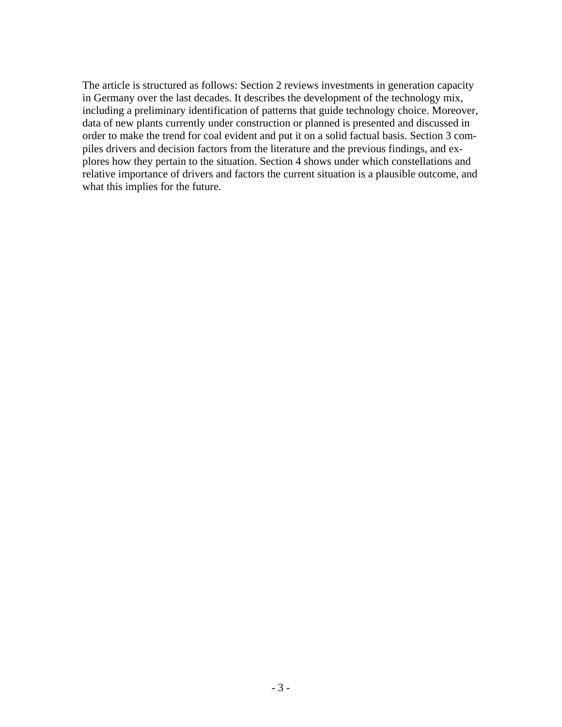The article is structured as follows: Section 2 reviews investments in generation capacity in Germany over the last decades. It describes the development of the technology mix, including a preliminary identification of patterns that guide technology choice. Moreover, data of new plants currently under construction or planned is presented and discussed in order to make the trend for coal evident and put it on a solid factual basis. Section 3 compiles drivers and decision factors from the literature and the previous findings, and explores how they pertain to the situation. Section 4 shows under which constellations and relative importance of drivers and factors the current situation is a plausible outcome, and what this implies for the future.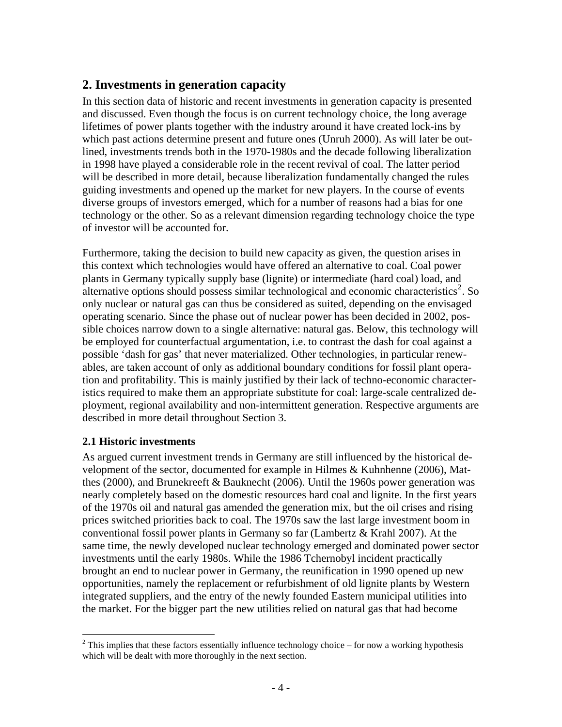# **2. Investments in generation capacity**

In this section data of historic and recent investments in generation capacity is presented and discussed. Even though the focus is on current technology choice, the long average lifetimes of power plants together with the industry around it have created lock-ins by which past actions determine present and future ones (Unruh 2000). As will later be outlined, investments trends both in the 1970-1980s and the decade following liberalization in 1998 have played a considerable role in the recent revival of coal. The latter period will be described in more detail, because liberalization fundamentally changed the rules guiding investments and opened up the market for new players. In the course of events diverse groups of investors emerged, which for a number of reasons had a bias for one technology or the other. So as a relevant dimension regarding technology choice the type of investor will be accounted for.

Furthermore, taking the decision to build new capacity as given, the question arises in this context which technologies would have offered an alternative to coal. Coal power plants in Germany typically supply base (lignite) or intermediate (hard coal) load, and  $\alpha$  alternative options should possess similar technological and economic characteristics<sup>[2](#page-3-0)</sup>. So only nuclear or natural gas can thus be considered as suited, depending on the envisaged operating scenario. Since the phase out of nuclear power has been decided in 2002, possible choices narrow down to a single alternative: natural gas. Below, this technology will be employed for counterfactual argumentation, i.e. to contrast the dash for coal against a possible 'dash for gas' that never materialized. Other technologies, in particular renewables, are taken account of only as additional boundary conditions for fossil plant operation and profitability. This is mainly justified by their lack of techno-economic characteristics required to make them an appropriate substitute for coal: large-scale centralized deployment, regional availability and non-intermittent generation. Respective arguments are described in more detail throughout Section 3.

## **2.1 Historic investments**

 $\overline{a}$ 

As argued current investment trends in Germany are still influenced by the historical development of the sector, documented for example in Hilmes & Kuhnhenne (2006), Matthes (2000), and Brunekreeft & Bauknecht (2006). Until the 1960s power generation was nearly completely based on the domestic resources hard coal and lignite. In the first years of the 1970s oil and natural gas amended the generation mix, but the oil crises and rising prices switched priorities back to coal. The 1970s saw the last large investment boom in conventional fossil power plants in Germany so far (Lambertz & Krahl 2007). At the same time, the newly developed nuclear technology emerged and dominated power sector investments until the early 1980s. While the 1986 Tchernobyl incident practically brought an end to nuclear power in Germany, the reunification in 1990 opened up new opportunities, namely the replacement or refurbishment of old lignite plants by Western integrated suppliers, and the entry of the newly founded Eastern municipal utilities into the market. For the bigger part the new utilities relied on natural gas that had become

<span id="page-3-0"></span> $2$  This implies that these factors essentially influence technology choice – for now a working hypothesis which will be dealt with more thoroughly in the next section.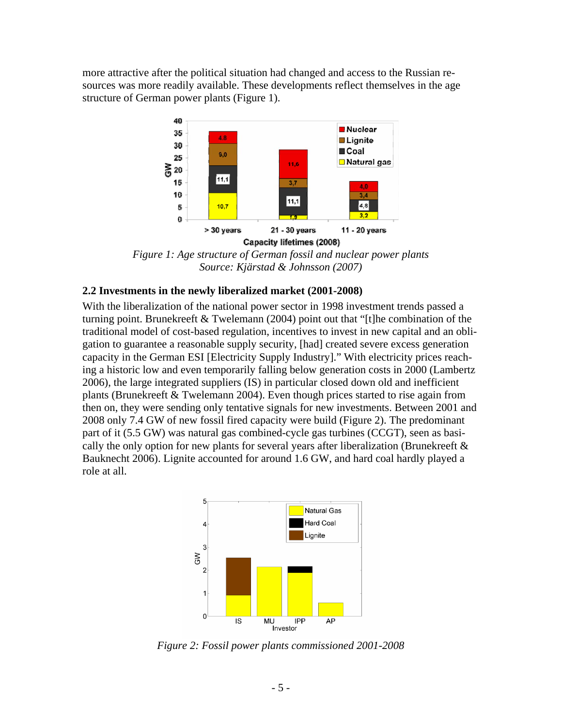more attractive after the political situation had changed and access to the Russian resources was more readily available. These developments reflect themselves in the age structure of German power plants (Figure 1).



*Figure 1: Age structure of German fossil and nuclear power plants Source: Kjärstad & Johnsson (2007)* 

#### **2.2 Investments in the newly liberalized market (2001-2008)**

With the liberalization of the national power sector in 1998 investment trends passed a turning point. Brunekreeft & Twelemann (2004) point out that "[t]he combination of the traditional model of cost-based regulation, incentives to invest in new capital and an obligation to guarantee a reasonable supply security, [had] created severe excess generation capacity in the German ESI [Electricity Supply Industry]." With electricity prices reaching a historic low and even temporarily falling below generation costs in 2000 (Lambertz 2006), the large integrated suppliers (IS) in particular closed down old and inefficient plants (Brunekreeft & Twelemann 2004). Even though prices started to rise again from then on, they were sending only tentative signals for new investments. Between 2001 and 2008 only 7.4 GW of new fossil fired capacity were build (Figure 2). The predominant part of it (5.5 GW) was natural gas combined-cycle gas turbines (CCGT), seen as basically the only option for new plants for several years after liberalization (Brunekreeft  $\&$ Bauknecht 2006). Lignite accounted for around 1.6 GW, and hard coal hardly played a role at all.



*Figure 2: Fossil power plants commissioned 2001-2008*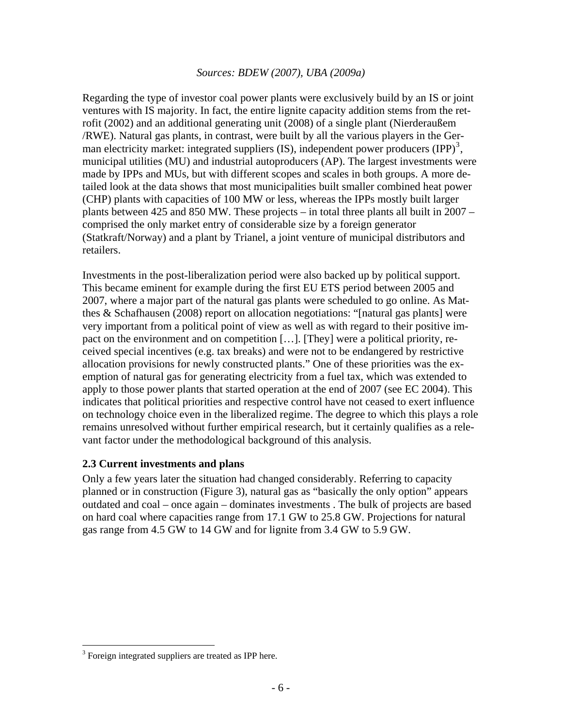### *Sources: BDEW (2007), UBA (2009a)*

Regarding the type of investor coal power plants were exclusively build by an IS or joint ventures with IS majority. In fact, the entire lignite capacity addition stems from the retrofit (2002) and an additional generating unit (2008) of a single plant (Nierderaußem /RWE). Natural gas plants, in contrast, were built by all the various players in the German electricity market: integrated suppliers  $(IS)$ , independent power producers  $(IPP)^3$  $(IPP)^3$ , municipal utilities (MU) and industrial autoproducers (AP). The largest investments were made by IPPs and MUs, but with different scopes and scales in both groups. A more detailed look at the data shows that most municipalities built smaller combined heat power (CHP) plants with capacities of 100 MW or less, whereas the IPPs mostly built larger plants between 425 and 850 MW. These projects – in total three plants all built in 2007 – comprised the only market entry of considerable size by a foreign generator (Statkraft/Norway) and a plant by Trianel, a joint venture of municipal distributors and retailers.

Investments in the post-liberalization period were also backed up by political support. This became eminent for example during the first EU ETS period between 2005 and 2007, where a major part of the natural gas plants were scheduled to go online. As Matthes & Schafhausen (2008) report on allocation negotiations: "[natural gas plants] were very important from a political point of view as well as with regard to their positive impact on the environment and on competition […]. [They] were a political priority, received special incentives (e.g. tax breaks) and were not to be endangered by restrictive allocation provisions for newly constructed plants." One of these priorities was the exemption of natural gas for generating electricity from a fuel tax, which was extended to apply to those power plants that started operation at the end of 2007 (see EC 2004). This indicates that political priorities and respective control have not ceased to exert influence on technology choice even in the liberalized regime. The degree to which this plays a role remains unresolved without further empirical research, but it certainly qualifies as a relevant factor under the methodological background of this analysis.

## **2.3 Current investments and plans**

Only a few years later the situation had changed considerably. Referring to capacity planned or in construction (Figure 3), natural gas as "basically the only option" appears outdated and coal – once again – dominates investments . The bulk of projects are based on hard coal where capacities range from 17.1 GW to 25.8 GW. Projections for natural gas range from 4.5 GW to 14 GW and for lignite from 3.4 GW to 5.9 GW.

<span id="page-5-0"></span> $3$  Foreign integrated suppliers are treated as IPP here.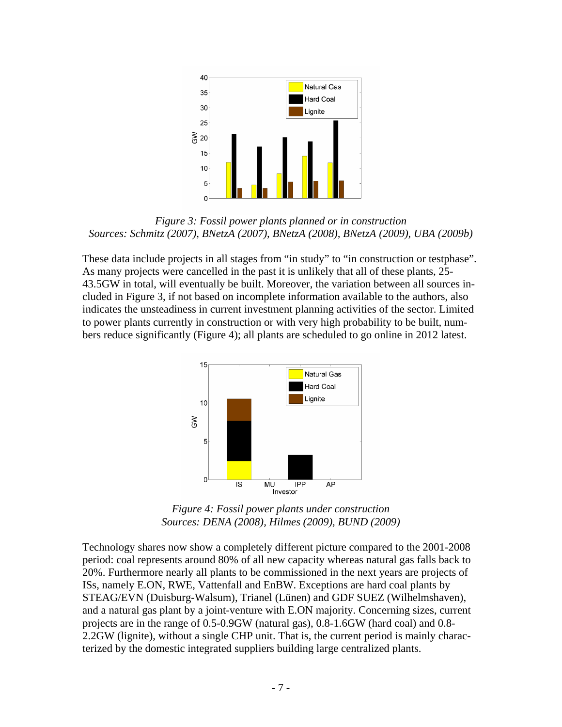

*Figure 3: Fossil power plants planned or in construction Sources: Schmitz (2007), BNetzA (2007), BNetzA (2008), BNetzA (2009), UBA (2009b)* 

These data include projects in all stages from "in study" to "in construction or testphase". As many projects were cancelled in the past it is unlikely that all of these plants, 25- 43.5GW in total, will eventually be built. Moreover, the variation between all sources included in Figure 3, if not based on incomplete information available to the authors, also indicates the unsteadiness in current investment planning activities of the sector. Limited to power plants currently in construction or with very high probability to be built, numbers reduce significantly (Figure 4); all plants are scheduled to go online in 2012 latest.



*Figure 4: Fossil power plants under construction Sources: DENA (2008), Hilmes (2009), BUND (2009)* 

Technology shares now show a completely different picture compared to the 2001-2008 period: coal represents around 80% of all new capacity whereas natural gas falls back to 20%. Furthermore nearly all plants to be commissioned in the next years are projects of ISs, namely E.ON, RWE, Vattenfall and EnBW. Exceptions are hard coal plants by STEAG/EVN (Duisburg-Walsum), Trianel (Lünen) and GDF SUEZ (Wilhelmshaven), and a natural gas plant by a joint-venture with E.ON majority. Concerning sizes, current projects are in the range of 0.5-0.9GW (natural gas), 0.8-1.6GW (hard coal) and 0.8- 2.2GW (lignite), without a single CHP unit. That is, the current period is mainly characterized by the domestic integrated suppliers building large centralized plants.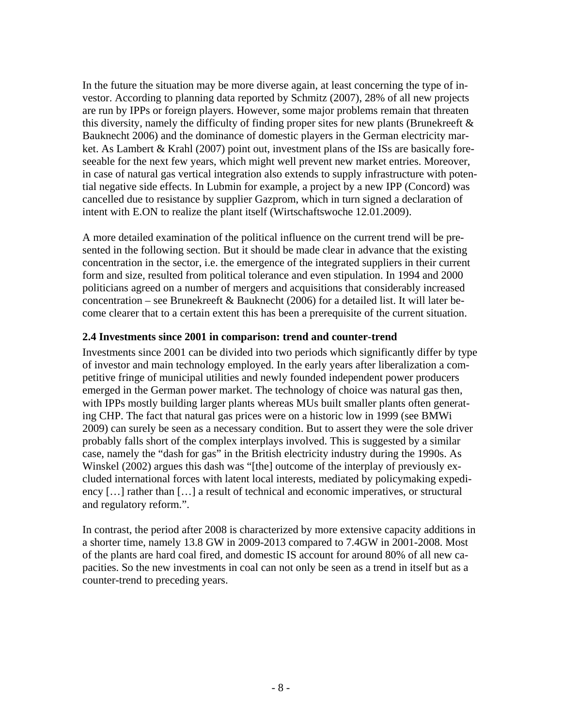In the future the situation may be more diverse again, at least concerning the type of investor. According to planning data reported by Schmitz (2007), 28% of all new projects are run by IPPs or foreign players. However, some major problems remain that threaten this diversity, namely the difficulty of finding proper sites for new plants (Brunekreeft  $\&$ Bauknecht 2006) and the dominance of domestic players in the German electricity market. As Lambert & Krahl (2007) point out, investment plans of the ISs are basically foreseeable for the next few years, which might well prevent new market entries. Moreover, in case of natural gas vertical integration also extends to supply infrastructure with potential negative side effects. In Lubmin for example, a project by a new IPP (Concord) was cancelled due to resistance by supplier Gazprom, which in turn signed a declaration of intent with E.ON to realize the plant itself (Wirtschaftswoche 12.01.2009).

A more detailed examination of the political influence on the current trend will be presented in the following section. But it should be made clear in advance that the existing concentration in the sector, i.e. the emergence of the integrated suppliers in their current form and size, resulted from political tolerance and even stipulation. In 1994 and 2000 politicians agreed on a number of mergers and acquisitions that considerably increased concentration – see Brunekreeft & Bauknecht (2006) for a detailed list. It will later become clearer that to a certain extent this has been a prerequisite of the current situation.

## **2.4 Investments since 2001 in comparison: trend and counter-trend**

Investments since 2001 can be divided into two periods which significantly differ by type of investor and main technology employed. In the early years after liberalization a competitive fringe of municipal utilities and newly founded independent power producers emerged in the German power market. The technology of choice was natural gas then, with IPPs mostly building larger plants whereas MUs built smaller plants often generating CHP. The fact that natural gas prices were on a historic low in 1999 (see BMWi 2009) can surely be seen as a necessary condition. But to assert they were the sole driver probably falls short of the complex interplays involved. This is suggested by a similar case, namely the "dash for gas" in the British electricity industry during the 1990s. As Winskel (2002) argues this dash was "[the] outcome of the interplay of previously excluded international forces with latent local interests, mediated by policymaking expediency […] rather than […] a result of technical and economic imperatives, or structural and regulatory reform.".

In contrast, the period after 2008 is characterized by more extensive capacity additions in a shorter time, namely 13.8 GW in 2009-2013 compared to 7.4GW in 2001-2008. Most of the plants are hard coal fired, and domestic IS account for around 80% of all new capacities. So the new investments in coal can not only be seen as a trend in itself but as a counter-trend to preceding years.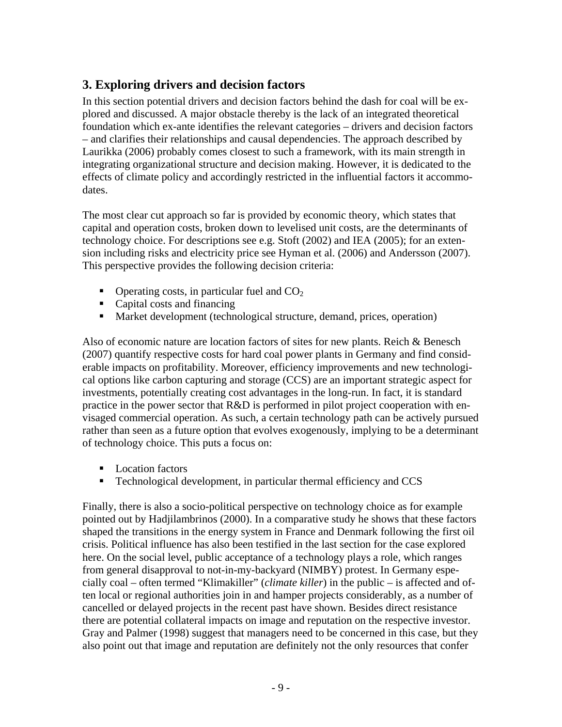# **3. Exploring drivers and decision factors**

In this section potential drivers and decision factors behind the dash for coal will be explored and discussed. A major obstacle thereby is the lack of an integrated theoretical foundation which ex-ante identifies the relevant categories – drivers and decision factors – and clarifies their relationships and causal dependencies. The approach described by Laurikka (2006) probably comes closest to such a framework, with its main strength in integrating organizational structure and decision making. However, it is dedicated to the effects of climate policy and accordingly restricted in the influential factors it accommodates.

The most clear cut approach so far is provided by economic theory, which states that capital and operation costs, broken down to levelised unit costs, are the determinants of technology choice. For descriptions see e.g. Stoft (2002) and IEA (2005); for an extension including risks and electricity price see Hyman et al. (2006) and Andersson (2007). This perspective provides the following decision criteria:

- $\blacksquare$  Operating costs, in particular fuel and  $CO<sub>2</sub>$
- Capital costs and financing
- Market development (technological structure, demand, prices, operation)

Also of economic nature are location factors of sites for new plants. Reich & Benesch (2007) quantify respective costs for hard coal power plants in Germany and find considerable impacts on profitability. Moreover, efficiency improvements and new technological options like carbon capturing and storage (CCS) are an important strategic aspect for investments, potentially creating cost advantages in the long-run. In fact, it is standard practice in the power sector that R&D is performed in pilot project cooperation with envisaged commercial operation. As such, a certain technology path can be actively pursued rather than seen as a future option that evolves exogenously, implying to be a determinant of technology choice. This puts a focus on:

- **Location factors**
- Technological development, in particular thermal efficiency and CCS

Finally, there is also a socio-political perspective on technology choice as for example pointed out by Hadjilambrinos (2000). In a comparative study he shows that these factors shaped the transitions in the energy system in France and Denmark following the first oil crisis. Political influence has also been testified in the last section for the case explored here. On the social level, public acceptance of a technology plays a role, which ranges from general disapproval to not-in-my-backyard (NIMBY) protest. In Germany especially coal – often termed "Klimakiller" (*climate killer*) in the public – is affected and often local or regional authorities join in and hamper projects considerably, as a number of cancelled or delayed projects in the recent past have shown. Besides direct resistance there are potential collateral impacts on image and reputation on the respective investor. Gray and Palmer (1998) suggest that managers need to be concerned in this case, but they also point out that image and reputation are definitely not the only resources that confer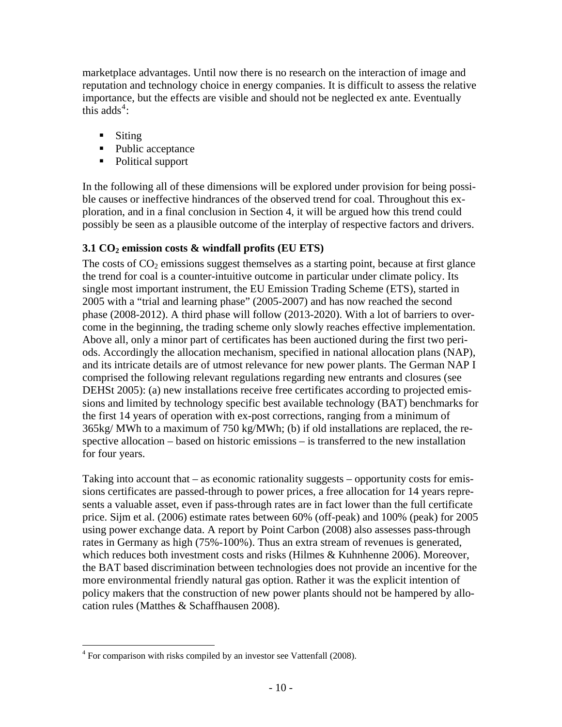marketplace advantages. Until now there is no research on the interaction of image and reputation and technology choice in energy companies. It is difficult to assess the relative importance, but the effects are visible and should not be neglected ex ante. Eventually this  $\text{ adds}^4$  $\text{ adds}^4$ :

- $\blacksquare$  Siting
- Public acceptance
- Political support

In the following all of these dimensions will be explored under provision for being possible causes or ineffective hindrances of the observed trend for coal. Throughout this exploration, and in a final conclusion in Section 4, it will be argued how this trend could possibly be seen as a plausible outcome of the interplay of respective factors and drivers.

## **3.1 CO2 emission costs & windfall profits (EU ETS)**

The costs of  $CO<sub>2</sub>$  emissions suggest themselves as a starting point, because at first glance the trend for coal is a counter-intuitive outcome in particular under climate policy. Its single most important instrument, the EU Emission Trading Scheme (ETS), started in 2005 with a "trial and learning phase" (2005-2007) and has now reached the second phase (2008-2012). A third phase will follow (2013-2020). With a lot of barriers to overcome in the beginning, the trading scheme only slowly reaches effective implementation. Above all, only a minor part of certificates has been auctioned during the first two periods. Accordingly the allocation mechanism, specified in national allocation plans (NAP), and its intricate details are of utmost relevance for new power plants. The German NAP I comprised the following relevant regulations regarding new entrants and closures (see DEHSt 2005): (a) new installations receive free certificates according to projected emissions and limited by technology specific best available technology (BAT) benchmarks for the first 14 years of operation with ex-post corrections, ranging from a minimum of 365kg/ MWh to a maximum of 750 kg/MWh; (b) if old installations are replaced, the respective allocation – based on historic emissions – is transferred to the new installation for four years.

Taking into account that – as economic rationality suggests – opportunity costs for emissions certificates are passed-through to power prices, a free allocation for 14 years represents a valuable asset, even if pass-through rates are in fact lower than the full certificate price. Sijm et al. (2006) estimate rates between 60% (off-peak) and 100% (peak) for 2005 using power exchange data. A report by Point Carbon (2008) also assesses pass-through rates in Germany as high (75%-100%). Thus an extra stream of revenues is generated, which reduces both investment costs and risks (Hilmes & Kuhnhenne 2006). Moreover, the BAT based discrimination between technologies does not provide an incentive for the more environmental friendly natural gas option. Rather it was the explicit intention of policy makers that the construction of new power plants should not be hampered by allocation rules (Matthes & Schaffhausen 2008).

<span id="page-9-0"></span> $4$  For comparison with risks compiled by an investor see Vattenfall (2008).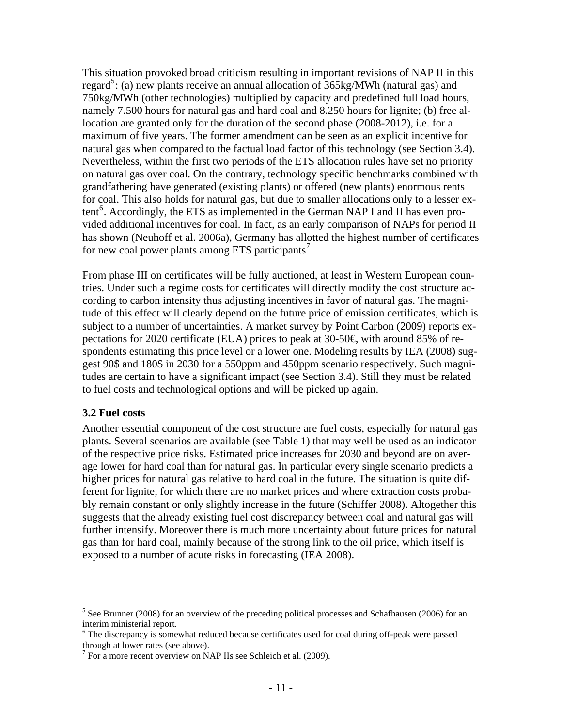This situation provoked broad criticism resulting in important revisions of NAP II in this regard<sup>[5](#page-10-0)</sup>: (a) new plants receive an annual allocation of  $365\text{kg}/\text{MWh}$  (natural gas) and 750kg/MWh (other technologies) multiplied by capacity and predefined full load hours, namely 7.500 hours for natural gas and hard coal and 8.250 hours for lignite; (b) free allocation are granted only for the duration of the second phase (2008-2012), i.e. for a maximum of five years. The former amendment can be seen as an explicit incentive for natural gas when compared to the factual load factor of this technology (see Section 3.4). Nevertheless, within the first two periods of the ETS allocation rules have set no priority on natural gas over coal. On the contrary, technology specific benchmarks combined with grandfathering have generated (existing plants) or offered (new plants) enormous rents for coal. This also holds for natural gas, but due to smaller allocations only to a lesser ex-tent<sup>[6](#page-10-1)</sup>. Accordingly, the ETS as implemented in the German NAP I and II has even provided additional incentives for coal. In fact, as an early comparison of NAPs for period II has shown (Neuhoff et al. 2006a), Germany has allotted the highest number of certificates for new coal power plants among ETS participants<sup>[7](#page-10-2)</sup>.

From phase III on certificates will be fully auctioned, at least in Western European countries. Under such a regime costs for certificates will directly modify the cost structure according to carbon intensity thus adjusting incentives in favor of natural gas. The magnitude of this effect will clearly depend on the future price of emission certificates, which is subject to a number of uncertainties. A market survey by Point Carbon (2009) reports expectations for 2020 certificate (EUA) prices to peak at 30-50 $\epsilon$  with around 85% of respondents estimating this price level or a lower one. Modeling results by IEA (2008) suggest 90\$ and 180\$ in 2030 for a 550ppm and 450ppm scenario respectively. Such magnitudes are certain to have a significant impact (see Section 3.4). Still they must be related to fuel costs and technological options and will be picked up again.

#### **3.2 Fuel costs**

 $\overline{a}$ 

Another essential component of the cost structure are fuel costs, especially for natural gas plants. Several scenarios are available (see Table 1) that may well be used as an indicator of the respective price risks. Estimated price increases for 2030 and beyond are on average lower for hard coal than for natural gas. In particular every single scenario predicts a higher prices for natural gas relative to hard coal in the future. The situation is quite different for lignite, for which there are no market prices and where extraction costs probably remain constant or only slightly increase in the future (Schiffer 2008). Altogether this suggests that the already existing fuel cost discrepancy between coal and natural gas will further intensify. Moreover there is much more uncertainty about future prices for natural gas than for hard coal, mainly because of the strong link to the oil price, which itself is exposed to a number of acute risks in forecasting (IEA 2008).

<span id="page-10-0"></span><sup>&</sup>lt;sup>5</sup> See Brunner (2008) for an overview of the preceding political processes and Schafhausen (2006) for an interim ministerial report.

<span id="page-10-1"></span><sup>&</sup>lt;sup>6</sup> The discrepancy is somewhat reduced because certificates used for coal during off-peak were passed through at lower rates (see above).

<span id="page-10-2"></span> $7$  For a more recent overview on NAP IIs see Schleich et al. (2009).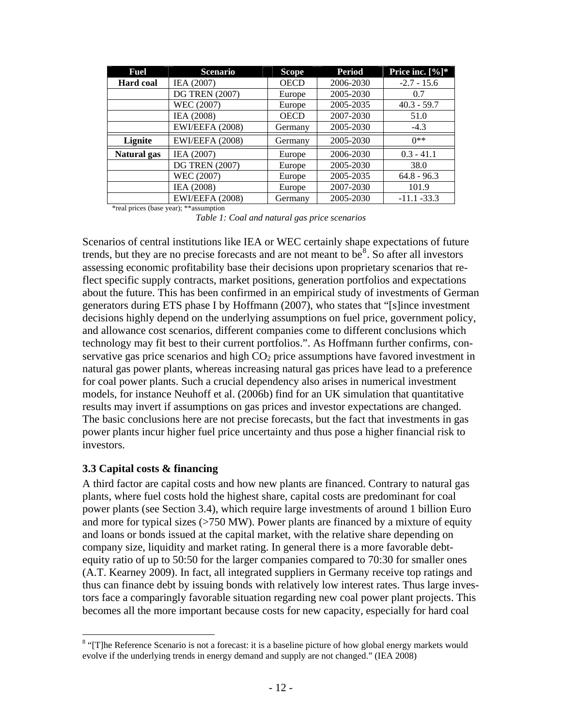| Fuel             | <b>Scenario</b>        | <b>Scope</b> | <b>Period</b> | Price inc. $[\%]^*$ |
|------------------|------------------------|--------------|---------------|---------------------|
| <b>Hard coal</b> | IEA (2007)             | <b>OECD</b>  | 2006-2030     | $-2.7 - 15.6$       |
|                  | DG TREN (2007)         | Europe       | 2005-2030     | 0.7                 |
|                  | WEC (2007)             | Europe       | 2005-2035     | $40.3 - 59.7$       |
|                  | IEA (2008)             | <b>OECD</b>  | 2007-2030     | 51.0                |
|                  | <b>EWI/EEFA (2008)</b> | Germany      | 2005-2030     | $-4.3$              |
| Lignite          | <b>EWI/EEFA (2008)</b> | Germany      | 2005-2030     | $0**$               |
| Natural gas      | IEA (2007)             | Europe       | 2006-2030     | $0.3 - 41.1$        |
|                  | <b>DG TREN (2007)</b>  | Europe       | 2005-2030     | 38.0                |
|                  | WEC (2007)             | Europe       | 2005-2035     | $64.8 - 96.3$       |
|                  | IEA (2008)             | Europe       | 2007-2030     | 101.9               |
|                  | <b>EWI/EEFA (2008)</b> | Germanv      | 2005-2030     | $-11.1 - 33.3$      |

\*real prices (base year); \*\*assumption

*Table 1: Coal and natural gas price scenarios*

Scenarios of central institutions like IEA or WEC certainly shape expectations of future trends, but they are no precise forecasts and are not meant to be  $8.8$  $8.8$ . So after all investors assessing economic profitability base their decisions upon proprietary scenarios that reflect specific supply contracts, market positions, generation portfolios and expectations about the future. This has been confirmed in an empirical study of investments of German generators during ETS phase I by Hoffmann (2007), who states that "[s]ince investment decisions highly depend on the underlying assumptions on fuel price, government policy, and allowance cost scenarios, different companies come to different conclusions which technology may fit best to their current portfolios.". As Hoffmann further confirms, conservative gas price scenarios and high  $CO<sub>2</sub>$  price assumptions have favored investment in natural gas power plants, whereas increasing natural gas prices have lead to a preference for coal power plants. Such a crucial dependency also arises in numerical investment models, for instance Neuhoff et al. (2006b) find for an UK simulation that quantitative results may invert if assumptions on gas prices and investor expectations are changed. The basic conclusions here are not precise forecasts, but the fact that investments in gas power plants incur higher fuel price uncertainty and thus pose a higher financial risk to investors.

#### **3.3 Capital costs & financing**

 $\overline{a}$ 

A third factor are capital costs and how new plants are financed. Contrary to natural gas plants, where fuel costs hold the highest share, capital costs are predominant for coal power plants (see Section 3.4), which require large investments of around 1 billion Euro and more for typical sizes (>750 MW). Power plants are financed by a mixture of equity and loans or bonds issued at the capital market, with the relative share depending on company size, liquidity and market rating. In general there is a more favorable debtequity ratio of up to 50:50 for the larger companies compared to 70:30 for smaller ones (A.T. Kearney 2009). In fact, all integrated suppliers in Germany receive top ratings and thus can finance debt by issuing bonds with relatively low interest rates. Thus large investors face a comparingly favorable situation regarding new coal power plant projects. This becomes all the more important because costs for new capacity, especially for hard coal

<span id="page-11-0"></span><sup>&</sup>lt;sup>8</sup> "[T]he Reference Scenario is not a forecast: it is a baseline picture of how global energy markets would evolve if the underlying trends in energy demand and supply are not changed." (IEA 2008)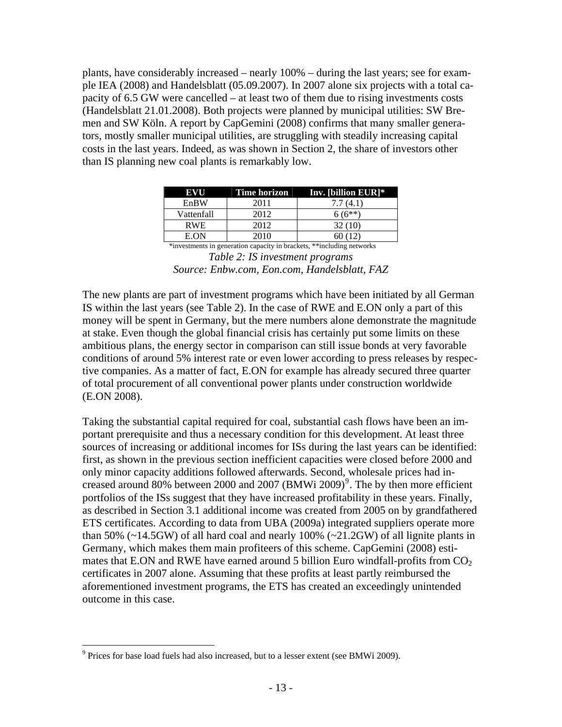plants, have considerably increased – nearly 100% – during the last years; see for example IEA (2008) and Handelsblatt (05.09.2007). In 2007 alone six projects with a total capacity of 6.5 GW were cancelled – at least two of them due to rising investments costs (Handelsblatt 21.01.2008). Both projects were planned by municipal utilities: SW Bremen and SW Köln. A report by CapGemini (2008) confirms that many smaller generators, mostly smaller municipal utilities, are struggling with steadily increasing capital costs in the last years. Indeed, as was shown in Section 2, the share of investors other than IS planning new coal plants is remarkably low.

| EVU                                                                   | <b>Time horizon</b> | Inv. [billion EUR]* |  |
|-----------------------------------------------------------------------|---------------------|---------------------|--|
| EnBW                                                                  | 2011                | 7.7(4.1)            |  |
| Vattenfall                                                            | 2012                | $6(6**)$            |  |
| <b>RWE</b>                                                            | 2012                | 32(10)              |  |
| E.ON                                                                  | 2010                | 60 (12)             |  |
| *investments in generation capacity in brackets, **including networks |                     |                     |  |

*Table 2: IS investment programs Source: Enbw.com, Eon.com, Handelsblatt, FAZ* 

The new plants are part of investment programs which have been initiated by all German IS within the last years (see Table 2). In the case of RWE and E.ON only a part of this money will be spent in Germany, but the mere numbers alone demonstrate the magnitude at stake. Even though the global financial crisis has certainly put some limits on these ambitious plans, the energy sector in comparison can still issue bonds at very favorable conditions of around 5% interest rate or even lower according to press releases by respective companies. As a matter of fact, E.ON for example has already secured three quarter of total procurement of all conventional power plants under construction worldwide (E.ON 2008).

Taking the substantial capital required for coal, substantial cash flows have been an important prerequisite and thus a necessary condition for this development. At least three sources of increasing or additional incomes for ISs during the last years can be identified: first, as shown in the previous section inefficient capacities were closed before 2000 and only minor capacity additions followed afterwards. Second, wholesale prices had in-creased around 80% between 2000 and 2007 (BMWi 200[9](#page-12-0))<sup>9</sup>. The by then more efficient portfolios of the ISs suggest that they have increased profitability in these years. Finally, as described in Section 3.1 additional income was created from 2005 on by grandfathered ETS certificates. According to data from UBA (2009a) integrated suppliers operate more than 50% ( $\sim$ 14.5GW) of all hard coal and nearly 100% ( $\sim$ 21.2GW) of all lignite plants in Germany, which makes them main profiteers of this scheme. CapGemini (2008) estimates that E.ON and RWE have earned around 5 billion Euro windfall-profits from  $CO<sub>2</sub>$ certificates in 2007 alone. Assuming that these profits at least partly reimbursed the aforementioned investment programs, the ETS has created an exceedingly unintended outcome in this case.

<span id="page-12-0"></span> $9$  Prices for base load fuels had also increased, but to a lesser extent (see BMWi 2009).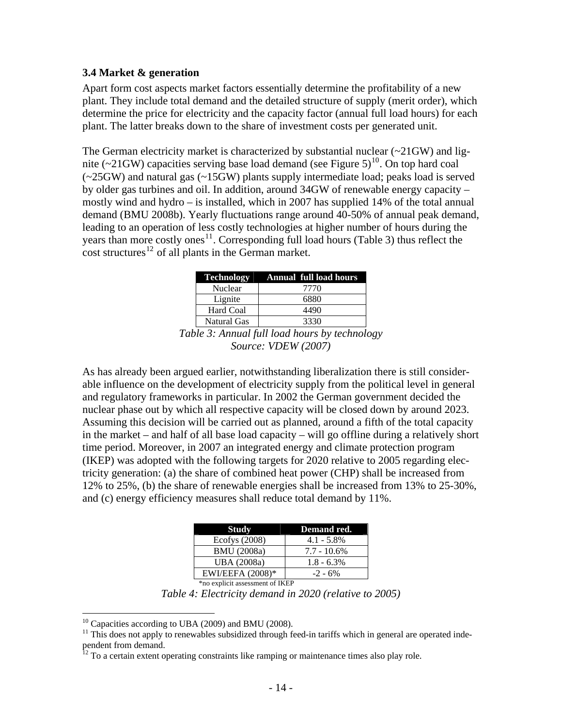### **3.4 Market & generation**

Apart form cost aspects market factors essentially determine the profitability of a new plant. They include total demand and the detailed structure of supply (merit order), which determine the price for electricity and the capacity factor (annual full load hours) for each plant. The latter breaks down to the share of investment costs per generated unit.

The German electricity market is characterized by substantial nuclear (~21GW) and lignite ( $\sim$ 21GW) capacities serving base load demand (see Figure 5)<sup>[10](#page-13-0)</sup>. On top hard coal  $(\sim 25$ GW) and natural gas  $(\sim 15$ GW) plants supply intermediate load; peaks load is served by older gas turbines and oil. In addition, around 34GW of renewable energy capacity – mostly wind and hydro – is installed, which in 2007 has supplied 14% of the total annual demand (BMU 2008b). Yearly fluctuations range around 40-50% of annual peak demand, leading to an operation of less costly technologies at higher number of hours during the years than more costly ones<sup>[11](#page-13-1)</sup>. Corresponding full load hours (Table 3) thus reflect the  $\frac{1}{2}$  cost structures<sup>[12](#page-13-2)</sup> of all plants in the German market.

| <b>Technology</b>  | <b>Annual full load hours</b> |
|--------------------|-------------------------------|
| Nuclear            | 7770                          |
| Lignite            | 6880                          |
| <b>Hard Coal</b>   | 4490                          |
| <b>Natural Gas</b> | 3330                          |

*Table 3: Annual full load hours by technology Source: VDEW (2007)* 

As has already been argued earlier, notwithstanding liberalization there is still considerable influence on the development of electricity supply from the political level in general and regulatory frameworks in particular. In 2002 the German government decided the nuclear phase out by which all respective capacity will be closed down by around 2023. Assuming this decision will be carried out as planned, around a fifth of the total capacity in the market – and half of all base load capacity – will go offline during a relatively short time period. Moreover, in 2007 an integrated energy and climate protection program (IKEP) was adopted with the following targets for 2020 relative to 2005 regarding electricity generation: (a) the share of combined heat power (CHP) shall be increased from 12% to 25%, (b) the share of renewable energies shall be increased from 13% to 25-30%, and (c) energy efficiency measures shall reduce total demand by 11%.

| Study                           | <b>Demand red.</b> |
|---------------------------------|--------------------|
| Ecofys (2008)                   | $4.1 - 5.8\%$      |
| <b>BMU</b> (2008a)              | $7.7 - 10.6\%$     |
| UBA (2008a)                     | $1.8 - 6.3\%$      |
| EWI/EEFA $(2008)*$              | $-2 - 6\%$         |
| *no explicit assessment of IKEP |                    |

*Table 4: Electricity demand in 2020 (relative to 2005)* 

 $10$  Capacities according to UBA (2009) and BMU (2008).

<span id="page-13-1"></span><span id="page-13-0"></span> $11$  This does not apply to renewables subsidized through feed-in tariffs which in general are operated independent from demand.

<span id="page-13-2"></span> $12$  To a certain extent operating constraints like ramping or maintenance times also play role.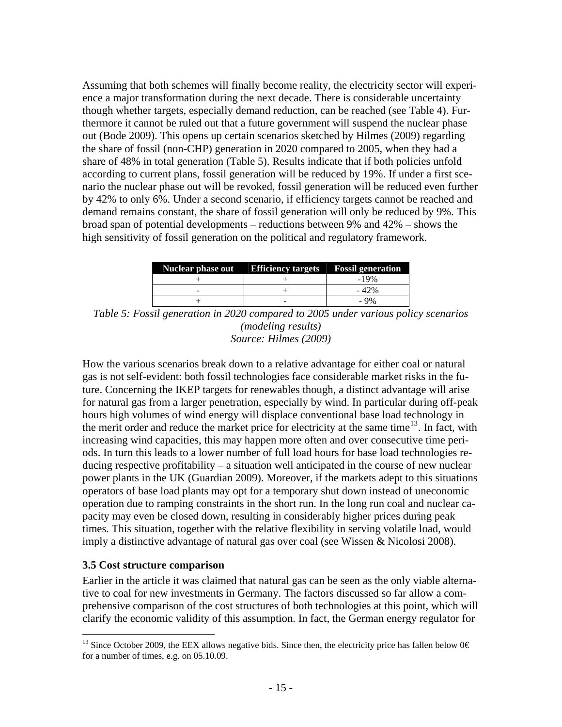Assuming that both schemes will finally become reality, the electricity sector will experience a major transformation during the next decade. There is considerable uncertainty though whether targets, especially demand reduction, can be reached (see Table 4). Furthermore it cannot be ruled out that a future government will suspend the nuclear phase out (Bode 2009). This opens up certain scenarios sketched by Hilmes (2009) regarding the share of fossil (non-CHP) generation in 2020 compared to 2005, when they had a share of 48% in total generation (Table 5). Results indicate that if both policies unfold according to current plans, fossil generation will be reduced by 19%. If under a first scenario the nuclear phase out will be revoked, fossil generation will be reduced even further by 42% to only 6%. Under a second scenario, if efficiency targets cannot be reached and demand remains constant, the share of fossil generation will only be reduced by 9%. This broad span of potential developments – reductions between 9% and 42% – shows the high sensitivity of fossil generation on the political and regulatory framework.

| Nuclear phase out Efficiency targets Fossil generation |        |
|--------------------------------------------------------|--------|
|                                                        | $-19%$ |
|                                                        |        |
|                                                        | $-9%$  |

*Table 5: Fossil generation in 2020 compared to 2005 under various policy scenarios (modeling results) Source: Hilmes (2009)* 

How the various scenarios break down to a relative advantage for either coal or natural gas is not self-evident: both fossil technologies face considerable market risks in the future. Concerning the IKEP targets for renewables though, a distinct advantage will arise for natural gas from a larger penetration, especially by wind. In particular during off-peak hours high volumes of wind energy will displace conventional base load technology in the merit order and reduce the market price for electricity at the same time<sup>[13](#page-14-0)</sup>. In fact, with increasing wind capacities, this may happen more often and over consecutive time periods. In turn this leads to a lower number of full load hours for base load technologies reducing respective profitability – a situation well anticipated in the course of new nuclear power plants in the UK (Guardian 2009). Moreover, if the markets adept to this situations operators of base load plants may opt for a temporary shut down instead of uneconomic operation due to ramping constraints in the short run. In the long run coal and nuclear capacity may even be closed down, resulting in considerably higher prices during peak times. This situation, together with the relative flexibility in serving volatile load, would imply a distinctive advantage of natural gas over coal (see Wissen & Nicolosi 2008).

## **3.5 Cost structure comparison**

 $\overline{a}$ 

Earlier in the article it was claimed that natural gas can be seen as the only viable alternative to coal for new investments in Germany. The factors discussed so far allow a comprehensive comparison of the cost structures of both technologies at this point, which will clarify the economic validity of this assumption. In fact, the German energy regulator for

<span id="page-14-0"></span><sup>&</sup>lt;sup>13</sup> Since October 2009, the EEX allows negative bids. Since then, the electricity price has fallen below  $0 \in$ for a number of times, e.g. on 05.10.09.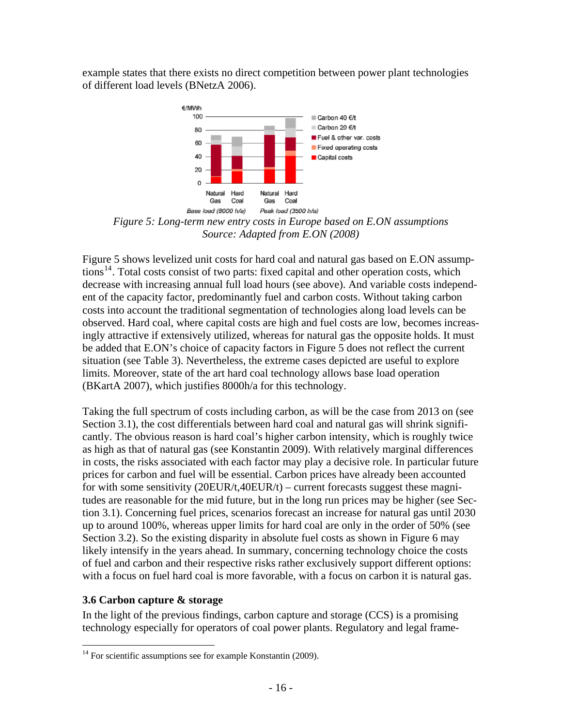example states that there exists no direct competition between power plant technologies of different load levels (BNetzA 2006).



*Figure 5: Long-term new entry costs in Europe based on E.ON assumptions Source: Adapted from E.ON (2008)* 

Figure 5 shows levelized unit costs for hard coal and natural gas based on E.ON assump-tions<sup>[14](#page-15-0)</sup>. Total costs consist of two parts: fixed capital and other operation costs, which decrease with increasing annual full load hours (see above). And variable costs independent of the capacity factor, predominantly fuel and carbon costs. Without taking carbon costs into account the traditional segmentation of technologies along load levels can b e observed. Hard coal, where capital costs are high and fuel costs are low, becomes increa s ingly attractive if extensively utilized, whereas for natural gas the opposite holds. It must be added that E.ON's choice of capacity factors in Figure 5 does not reflect the current situation (see Table 3). Nevertheless, the extreme cases depicted are useful to explore limits. Moreover, state of the art hard coal technology allows base load operation (BKartA 2007), which justifies 8000h/a for this technology.

Taking the full spectrum of costs including carbon, as will be the case from 2013 on (see Section 3.1), the cost differentials between hard coal and natural gas will shrink significantly. The obvious reason is hard coal's higher carbon intensity, which is roughly twice as high as that of natural gas (see Konstantin 2009). With relatively marginal differences in costs, the risks associated with each factor may play a decisive role. In particular future prices for carbon and fuel will be essential. Carbon prices have already been accounted for with some sensitivity  $(20EUR/t, 40EUR/t)$  – current forecasts suggest these magnitudes are reasonable for the mid future, but in the long run prices may be higher (see Section 3.1). Concerning fuel prices, scenarios forecast an increase for natural gas until 2030 up to around 100%, whereas upper limits for hard coal are only in the order of 50% (see Section 3.2). So the existing disparity in absolute fuel costs as shown in Figure 6 may likely intensify in the years ahead. In summary, concerning technology choice the costs of fuel and carbon and their respective risks rather exclusively support different options: with a focus on fuel hard coal is more favorable, with a focus on carbon it is natural gas.

## **3.6 Carbon capture & storage**

 $\overline{a}$ 

In the light of the previous findings, carbon capture and storage (CCS) is a promising technology especially for operators of coal power plants. Regulatory and legal frame-

<span id="page-15-0"></span> $14$  For scientific assumptions see for example Konstantin (2009).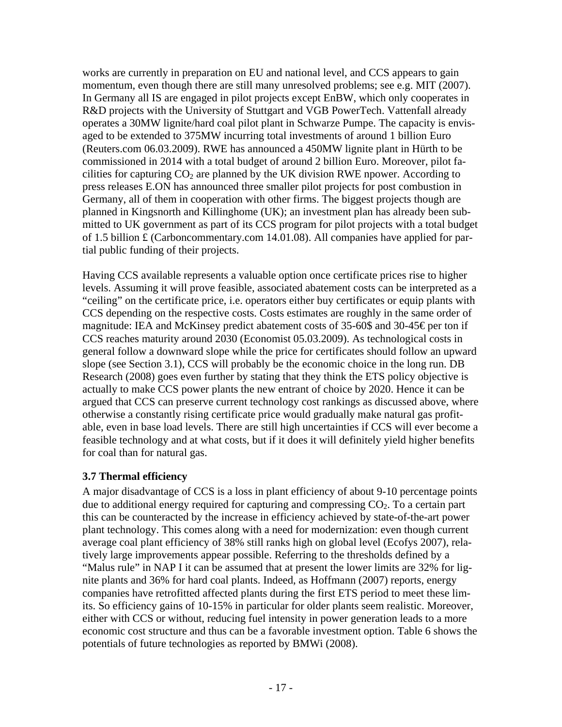works are currently in preparation on EU and national level, and CCS appears to gain momentum, even though there are still many unresolved problems; see e.g. MIT (2007). In Germany all IS are engaged in pilot projects except EnBW, which only cooperates in R&D projects with the University of Stuttgart and VGB PowerTech. Vattenfall already operates a 30MW lignite/hard coal pilot plant in Schwarze Pumpe. The capacity is envisaged to be extended to 375MW incurring total investments of around 1 billion Euro (Reuters.com 06.03.2009). RWE has announced a 450MW lignite plant in Hürth to be commissioned in 2014 with a total budget of around 2 billion Euro. Moreover, pilot facilities for capturing  $CO<sub>2</sub>$  are planned by the UK division RWE npower. According to press releases E.ON has announced three smaller pilot projects for post combustion in Germany, all of them in cooperation with other firms. The biggest projects though are planned in Kingsnorth and Killinghome (UK); an investment plan has already been submitted to UK government as part of its CCS program for pilot projects with a total budget of 1.5 billion £ (Carboncommentary.com 14.01.08). All companies have applied for partial public funding of their projects.

Having CCS available represents a valuable option once certificate prices rise to higher levels. Assuming it will prove feasible, associated abatement costs can be interpreted as a "ceiling" on the certificate price, i.e. operators either buy certificates or equip plants with CCS depending on the respective costs. Costs estimates are roughly in the same order of magnitude: IEA and McKinsey predict abatement costs of 35-60\$ and 30-45 $\epsilon$  per ton if CCS reaches maturity around 2030 (Economist 05.03.2009). As technological costs in general follow a downward slope while the price for certificates should follow an upward slope (see Section 3.1), CCS will probably be the economic choice in the long run. DB Research (2008) goes even further by stating that they think the ETS policy objective is actually to make CCS power plants the new entrant of choice by 2020. Hence it can be argued that CCS can preserve current technology cost rankings as discussed above, where otherwise a constantly rising certificate price would gradually make natural gas profitable, even in base load levels. There are still high uncertainties if CCS will ever become a feasible technology and at what costs, but if it does it will definitely yield higher benefits for coal than for natural gas.

## **3.7 Thermal efficiency**

A major disadvantage of CCS is a loss in plant efficiency of about 9-10 percentage points due to additional energy required for capturing and compressing  $CO<sub>2</sub>$ . To a certain part this can be counteracted by the increase in efficiency achieved by state-of-the-art power plant technology. This comes along with a need for modernization: even though current average coal plant efficiency of 38% still ranks high on global level (Ecofys 2007), relatively large improvements appear possible. Referring to the thresholds defined by a "Malus rule" in NAP I it can be assumed that at present the lower limits are 32% for lignite plants and 36% for hard coal plants. Indeed, as Hoffmann (2007) reports, energy companies have retrofitted affected plants during the first ETS period to meet these limits. So efficiency gains of 10-15% in particular for older plants seem realistic. Moreover, either with CCS or without, reducing fuel intensity in power generation leads to a more economic cost structure and thus can be a favorable investment option. Table 6 shows the potentials of future technologies as reported by BMWi (2008).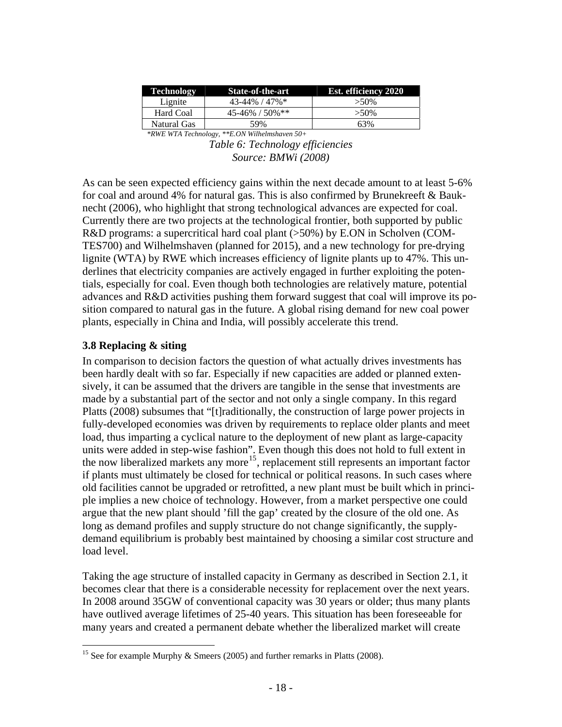| <b>Technology</b>                               | <b>State-of-the-art</b> | <b>Est. efficiency 2020</b> |  |
|-------------------------------------------------|-------------------------|-----------------------------|--|
| Lignite                                         | $43 - 44\% / 47\%$      | $>50\%$                     |  |
| Hard Coal                                       | $45-46\% / 50\%$ **     | $>50\%$                     |  |
| Natural Gas<br>59%<br>63%                       |                         |                             |  |
| *RWE WTA Technology, **E.ON Wilhelmshaven $50+$ |                         |                             |  |



As can be seen expected efficiency gains within the next decade amount to at least 5-6% for coal and around 4% for natural gas. This is also confirmed by Brunekreeft & Bauknecht (2006), who highlight that strong technological advances are expected for coal. Currently there are two projects at the technological frontier, both supported by public R&D programs: a supercritical hard coal plant (>50%) by E.ON in Scholven (COM-TES700) and Wilhelmshaven (planned for 2015), and a new technology for pre-drying lignite (WTA) by RWE which increases efficiency of lignite plants up to 47%. This underlines that electricity companies are actively engaged in further exploiting the potentials, especially for coal. Even though both technologies are relatively mature, potential advances and R&D activities pushing them forward suggest that coal will improve its position compared to natural gas in the future. A global rising demand for new coal power plants, especially in China and India, will possibly accelerate this trend.

## **3.8 Replacing & siting**

 $\overline{a}$ 

In comparison to decision factors the question of what actually drives investments has been hardly dealt with so far. Especially if new capacities are added or planned extensively, it can be assumed that the drivers are tangible in the sense that investments are made by a substantial part of the sector and not only a single company. In this regard Platts (2008) subsumes that "[t]raditionally, the construction of large power projects in fully-developed economies was driven by requirements to replace older plants and meet load, thus imparting a cyclical nature to the deployment of new plant as large-capacity units were added in step-wise fashion". Even though this does not hold to full extent in the now liberalized markets any more<sup>[15](#page-17-0)</sup>, replacement still represents an important factor if plants must ultimately be closed for technical or political reasons. In such cases where old facilities cannot be upgraded or retrofitted, a new plant must be built which in principle implies a new choice of technology. However, from a market perspective one could argue that the new plant should 'fill the gap' created by the closure of the old one. As long as demand profiles and supply structure do not change significantly, the supplydemand equilibrium is probably best maintained by choosing a similar cost structure a nd load le vel.

Taking the age structure of installed capacity in Germany as described in Section 2.1, it becomes clear that there is a considerable necessity for replacement over the next years. In 2008 around 35GW of conventional capacity was 30 years or older; thus many plants have outlived average lifetimes of 25-40 years. This situation has been foreseeable for many years and created a permanent debate whether the liberalized market will create

<span id="page-17-0"></span><sup>&</sup>lt;sup>15</sup> See for example Murphy & Smeers (2005) and further remarks in Platts (2008).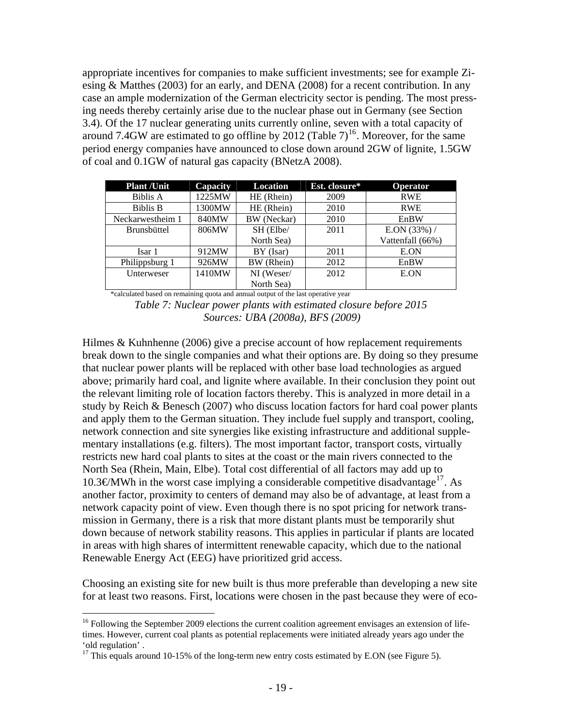appropriate incentives for companies to make sufficient investments; see for example Ziesing & Matthes (2003) for an early, and DENA (2008) for a recent contribution. In any case an ample modernization of the German electricity sector is pending. The most pressing needs thereby certainly arise due to the nuclear phase out in Germany (see Section 3.4). Of the 17 nuclear generating units currently online, seven with a total capacity of around 7.4GW are estimated to go offline by 2012 (Table 7)<sup>[16](#page-18-0)</sup>. Moreover, for the same period energy companies have announced to close down around 2GW of lignite, 1.5GW of coal and 0.1GW of natural gas capacity (BNetzA 2008).

| <b>Plant /Unit</b> | Capacity | Location    | Est. closure* | Operator         |
|--------------------|----------|-------------|---------------|------------------|
| <b>Biblis A</b>    | 1225MW   | HE (Rhein)  | 2009          | <b>RWE</b>       |
| <b>Biblis B</b>    | 1300MW   | HE (Rhein)  | 2010          | <b>RWE</b>       |
| Neckarwestheim 1   | 840MW    | BW (Neckar) | 2010          | EnBW             |
| <b>Brunsbüttel</b> | 806MW    | SH (Elbe/   | 2011          | E.ON(33%)/       |
|                    |          | North Sea)  |               | Vattenfall (66%) |
| Isar 1             | 912MW    | BY (Isar)   | 2011          | E.ON             |
| Philippsburg 1     | 926MW    | BW (Rhein)  | 2012          | EnBW             |
| Unterweser         | 1410MW   | NI (Weser/  | 2012          | E.ON             |
|                    |          | North Sea)  |               |                  |

\*calculated based on remaining quota and annual output of the last operative year

*Table 7: Nuclear power plants with estimated closure before 2015 Sources: UBA (2008a), BFS (2009)* 

Hilmes & Kuhnhenne (2006) give a precise account of how replacement requirements break down to the single companies and what their options are. By doing so they presume that nuclear power plants will be replaced with other base load technologies as argued above; primarily hard coal, and lignite where available. In their conclusion they point out the relevant limiting role of location factors thereby. This is analyzed in more detail in a study by Reich  $\&$  Benesch (2007) who discuss location factors for hard coal power plants and apply them to the German situation. They include fuel supply and transport, cooling, network connection and site synergies like existing infrastructure and additional supplementary installations (e.g. filters). The most important factor, transport costs, virtually restricts new hard coal plants to sites at the coast or the main rivers connected to the North Sea (Rhein, Main, Elbe). Total cost differential of all factors may add up to 10.3€MWh in the worst case implying a considerable competitive disadvantage<sup>[17](#page-18-1)</sup>. As another factor, proximity to centers of demand may also be of advantage, at least from a network capacity point of view. Even though there is no spot pricing for network transmission in Germany, there is a risk that more distant plants must be temporarily shut down because of network stability reasons. This applies in particular if plants are located in areas with high shares of intermittent renewable capacity, which due to the national Renewable Energy Act (EEG) have prioritized grid access.

Choosing an existing site for new built is thus more preferable than developing a new site for at least two reasons. First, locations were chosen in the past because they were of eco-

<span id="page-18-0"></span><sup>&</sup>lt;sup>16</sup> Following the September 2009 elections the current coalition agreement envisages an extension of lifetimes. However, current coal plants as potential replacements were initiated already years ago under the 'old regulation' .

<span id="page-18-1"></span> $17$  This equals around 10-15% of the long-term new entry costs estimated by E.ON (see Figure 5).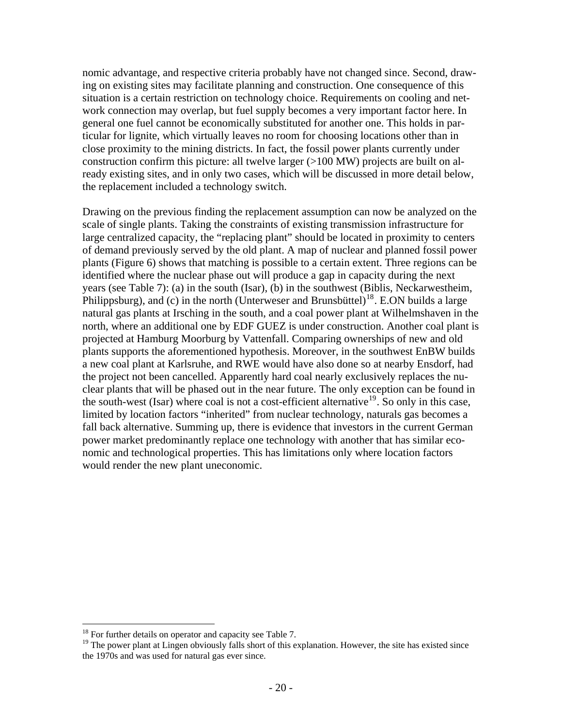nomic advantage, and respective criteria probably have not changed since. Second, drawing on existing sites may facilitate planning and construction. One consequence of this situation is a certain restriction on technology choice. Requirements on cooling and network connection may overlap, but fuel supply becomes a very important factor here. In general one fuel cannot be economically substituted for another one. This holds in particular for lignite, which virtually leaves no room for choosing locations other than in close proximity to the mining districts. In fact, the fossil power plants currently under construction confirm this picture: all twelve larger (>100 MW) projects are built on already existing sites, and in only two cases, which will be discussed in more detail below, the replacement included a technology switch.

Drawing on the previous finding the replacement assumption can now be analyzed on the scale of single plants. Taking the constraints of existing transmission infrastructure for large centralized capacity, the "replacing plant" should be located in proximity to centers of demand previously served by the old plant. A map of nuclear and planned fossil power plants (Figure 6) shows that matching is possible to a certain extent. Three regions can be identified where the nuclear phase out will produce a gap in capacity during the next years (see Table 7): (a) in the south (Isar), (b) in the southwest (Biblis, Neckarwestheim, Philippsburg), and (c) in the north (Unterweser and Brunsbüttel)<sup>[18](#page-19-0)</sup>. E.ON builds a large natural gas plants at Irsching in the south, and a coal power plant at Wilhelmshaven in the north, where an additional one by EDF GUEZ is under construction. Another coal plant is projected at Hamburg Moorburg by Vattenfall. Comparing ownerships of new and old plants supports the aforementioned hypothesis. Moreover, in the southwest EnBW builds a new coal plant at Karlsruhe, and RWE would have also done so at nearby Ensdorf, had the project not been cancelled. Apparently hard coal nearly exclusively replaces the nuclear plants that will be phased out in the near future. The only exception can be found in the south-west (Isar) where coal is not a cost-efficient alternative<sup>[19](#page-19-1)</sup>. So only in this case, limited by location factors "inherited" from nuclear technology, naturals gas becomes a fall back alternative. Summing up, there is evidence that investors in the current German power market predominantly replace one technology with another that has similar economic and technological properties. This has limitations only where location factors would render the new plant uneconomic.

<sup>&</sup>lt;sup>18</sup> For further details on operator and capacity see Table 7.

<span id="page-19-1"></span><span id="page-19-0"></span><sup>&</sup>lt;sup>19</sup> The power plant at Lingen obviously falls short of this explanation. However, the site has existed since the 1970s and was used for natural gas ever since.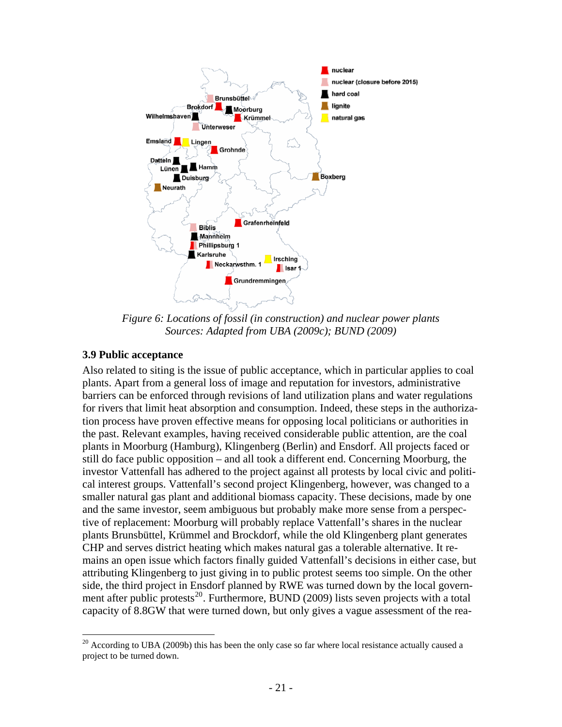

*Figure 6: Locations of fossil (in construction) and nuclear power plants Sources: Adapted from UBA (2009c); BUND (2009)* 

#### **3.9 Public acceptance**

 $\overline{a}$ 

Also related to siting is the issue of public acceptance, which in particular applies to coal plants. Apart from a general loss of image and reputation for investors, administrative barriers can be enforced through revisions of land utilization plans and water regulations for rivers that limit heat absorption and consumption. Indeed, these steps in the authorization process have proven effective means for opposing local politicians or authorities in the past. Relevant examples, having received considerable public attention, are the coal plants in Moorburg (Hamburg), Klingenberg (Berlin) and Ensdorf. All projects faced or still do face public opposition – and all took a different end. Concerning Moorburg, the investor Vattenfall has adhered to the project against all protests by local civic and political interest groups. Vattenfall's second project Klingenberg, however, was changed to a smaller natural gas plant and additional biomass capacity. These decisions, made by one and the same investor, seem ambiguous but probably make more sense from a perspective of replacement: Moorburg will probably replace Vattenfall's shares in the nuclear plants Brunsbüttel, Krümmel and Brockdorf, while the old Klingenberg plant generates CHP and serves district heating which makes natural gas a tolerable alternative. It remains an open issue which factors finally guided Vattenfall's decisions in either case, but attributing Klingenberg to just giving in to public protest seems too simple. On the other side, the third project in Ensdorf planned by RWE was turned down by the local govern-ment after public protests<sup>[20](#page-20-0)</sup>. Furthermore, BUND (2009) lists seven projects with a total capacity of 8.8GW that were turned down, but only gives a vague assessment of the rea-

<span id="page-20-0"></span> $20$  According to UBA (2009b) this has been the only case so far where local resistance actually caused a project to be turned down.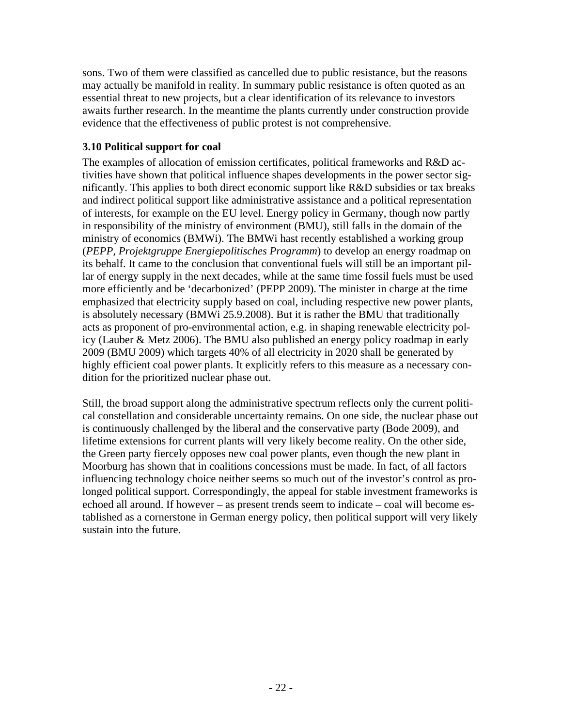sons. Two of them were classified as cancelled due to public resistance, but the reasons may actually be manifold in reality. In summary public resistance is often quoted as an essential threat to new projects, but a clear identification of its relevance to investors awaits further research. In the meantime the plants currently under construction provide evidence that the effectiveness of public protest is not comprehensive.

## **3.10 Political support for coal**

The examples of allocation of emission certificates, political frameworks and R&D activities have shown that political influence shapes developments in the power sector significantly. This applies to both direct economic support like R&D subsidies or tax breaks and indirect political support like administrative assistance and a political representation of interests, for example on the EU level. Energy policy in Germany, though now partly in responsibility of the ministry of environment (BMU), still falls in the domain of the ministry of economics (BMWi). The BMWi hast recently established a working group (*PEPP, Projektgruppe Energiepolitisches Programm*) to develop an energy roadmap on its behalf. It came to the conclusion that conventional fuels will still be an important pillar of energy supply in the next decades, while at the same time fossil fuels must be used more efficiently and be 'decarbonized' (PEPP 2009). The minister in charge at the time emphasized that electricity supply based on coal, including respective new power plants, is absolutely necessary (BMWi 25.9.2008). But it is rather the BMU that traditionally acts as proponent of pro-environmental action, e.g. in shaping renewable electricity policy (Lauber & Metz 2006). The BMU also published an energy policy roadmap in early 2009 (BMU 2009) which targets 40% of all electricity in 2020 shall be generated by highly efficient coal power plants. It explicitly refers to this measure as a necessary condition for the prioritized nuclear phase out.

Still, the broad support along the administrative spectrum reflects only the current political constellation and considerable uncertainty remains. On one side, the nuclear phase out is continuously challenged by the liberal and the conservative party (Bode 2009), and lifetime extensions for current plants will very likely become reality. On the other side, the Green party fiercely opposes new coal power plants, even though the new plant in Moorburg has shown that in coalitions concessions must be made. In fact, of all factors influencing technology choice neither seems so much out of the investor's control as prolonged political support. Correspondingly, the appeal for stable investment frameworks is echoed all around. If however – as present trends seem to indicate – coal will become established as a cornerstone in German energy policy, then political support will very likely sustain into the future.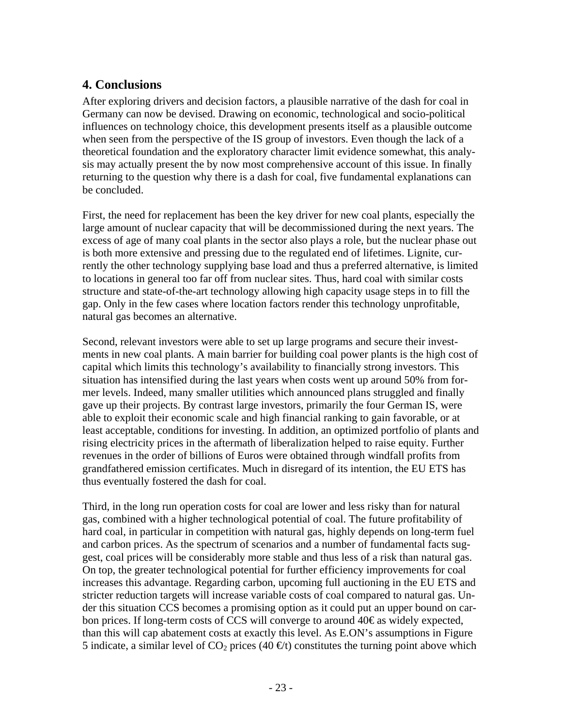# **4. Conclusions**

After exploring drivers and decision factors, a plausible narrative of the dash for coal in Germany can now be devised. Drawing on economic, technological and socio-political influences on technology choice, this development presents itself as a plausible outcome when seen from the perspective of the IS group of investors. Even though the lack of a theoretical foundation and the exploratory character limit evidence somewhat, this analysis may actually present the by now most comprehensive account of this issue. In finally returning to the question why there is a dash for coal, five fundamental explanations can be concluded.

First, the need for replacement has been the key driver for new coal plants, especially the large amount of nuclear capacity that will be decommissioned during the next years. The excess of age of many coal plants in the sector also plays a role, but the nuclear phase out is both more extensive and pressing due to the regulated end of lifetimes. Lignite, currently the other technology supplying base load and thus a preferred alternative, is limited to locations in general too far off from nuclear sites. Thus, hard coal with similar costs structure and state-of-the-art technology allowing high capacity usage steps in to fill the gap. Only in the few cases where location factors render this technology unprofitable, natural gas becomes an alternative.

Second, relevant investors were able to set up large programs and secure their investments in new coal plants. A main barrier for building coal power plants is the high cost of capital which limits this technology's availability to financially strong investors. This situation has intensified during the last years when costs went up around 50% from former levels. Indeed, many smaller utilities which announced plans struggled and finally gave up their projects. By contrast large investors, primarily the four German IS, were able to exploit their economic scale and high financial ranking to gain favorable, or at least acceptable, conditions for investing. In addition, an optimized portfolio of plants and rising electricity prices in the aftermath of liberalization helped to raise equity. Further revenues in the order of billions of Euros were obtained through windfall profits from grandfathered emission certificates. Much in disregard of its intention, the EU ETS has thus eventually fostered the dash for coal.

Third, in the long run operation costs for coal are lower and less risky than for natural gas, combined with a higher technological potential of coal. The future profitability of hard coal, in particular in competition with natural gas, highly depends on long-term fuel and carbon prices. As the spectrum of scenarios and a number of fundamental facts suggest, coal prices will be considerably more stable and thus less of a risk than natural gas. On top, the greater technological potential for further efficiency improvements for coal increases this advantage. Regarding carbon, upcoming full auctioning in the EU ETS and stricter reduction targets will increase variable costs of coal compared to natural gas. Under this situation CCS becomes a promising option as it could put an upper bound on carbon prices. If long-term costs of CCS will converge to around 40€ as widely expected, than this will cap abatement costs at exactly this level. As E.ON's assumptions in Figure 5 indicate, a similar level of  $CO_2$  prices (40  $\text{€t}$ ) constitutes the turning point above which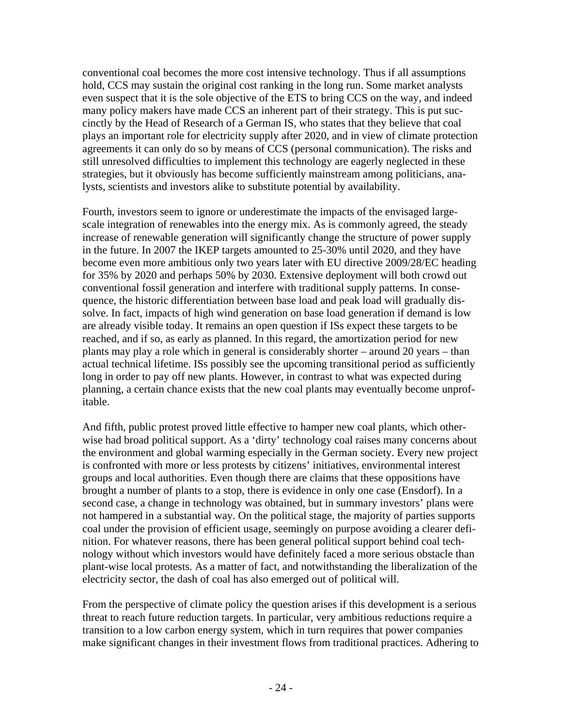conventional coal becomes the more cost intensive technology. Thus if all assumptions hold, CCS may sustain the original cost ranking in the long run. Some market analysts even suspect that it is the sole objective of the ETS to bring CCS on the way, and indeed many policy makers have made CCS an inherent part of their strategy. This is put succinctly by the Head of Research of a German IS, who states that they believe that coal plays an important role for electricity supply after 2020, and in view of climate protection agreements it can only do so by means of CCS (personal communication). The risks and still unresolved difficulties to implement this technology are eagerly neglected in these strategies, but it obviously has become sufficiently mainstream among politicians, analysts, scientists and investors alike to substitute potential by availability.

Fourth, investors seem to ignore or underestimate the impacts of the envisaged largescale integration of renewables into the energy mix. As is commonly agreed, the steady increase of renewable generation will significantly change the structure of power supply in the future. In 2007 the IKEP targets amounted to 25-30% until 2020, and they have become even more ambitious only two years later with EU directive 2009/28/EC heading for 35% by 2020 and perhaps 50% by 2030. Extensive deployment will both crowd out conventional fossil generation and interfere with traditional supply patterns. In consequence, the historic differentiation between base load and peak load will gradually dissolve. In fact, impacts of high wind generation on base load generation if demand is low are already visible today. It remains an open question if ISs expect these targets to be reached, and if so, as early as planned. In this regard, the amortization period for new plants may play a role which in general is considerably shorter – around 20 years – than actual technical lifetime. ISs possibly see the upcoming transitional period as sufficiently long in order to pay off new plants. However, in contrast to what was expected during planning, a certain chance exists that the new coal plants may eventually become unprofitable.

And fifth, public protest proved little effective to hamper new coal plants, which otherwise had broad political support. As a 'dirty' technology coal raises many concerns about the environment and global warming especially in the German society. Every new project is confronted with more or less protests by citizens' initiatives, environmental interest groups and local authorities. Even though there are claims that these oppositions have brought a number of plants to a stop, there is evidence in only one case (Ensdorf). In a second case, a change in technology was obtained, but in summary investors' plans were not hampered in a substantial way. On the political stage, the majority of parties supports coal under the provision of efficient usage, seemingly on purpose avoiding a clearer definition. For whatever reasons, there has been general political support behind coal technology without which investors would have definitely faced a more serious obstacle than plant-wise local protests. As a matter of fact, and notwithstanding the liberalization of the electricity sector, the dash of coal has also emerged out of political will.

From the perspective of climate policy the question arises if this development is a serious threat to reach future reduction targets. In particular, very ambitious reductions require a transition to a low carbon energy system, which in turn requires that power companies make significant changes in their investment flows from traditional practices. Adhering to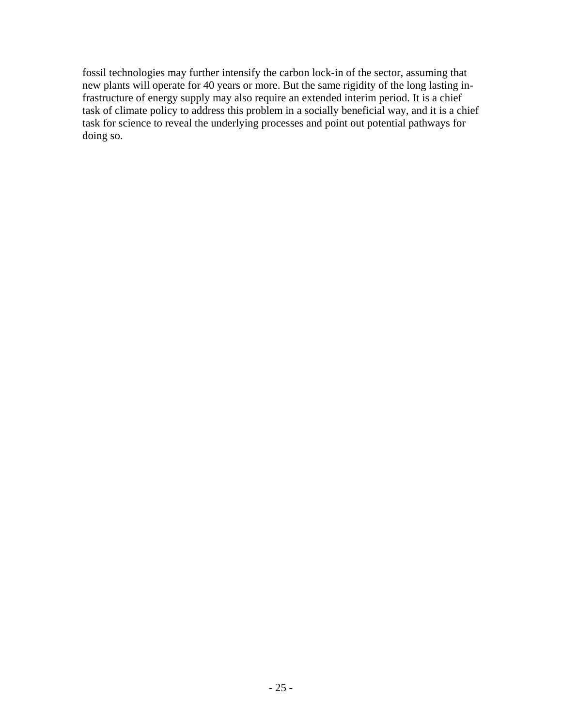fossil technologies may further intensify the carbon lock-in of the sector, assuming that new plants will operate for 40 years or more. But the same rigidity of the long lasting infrastructure of energy supply may also require an extended interim period. It is a chief task of climate policy to address this problem in a socially beneficial way, and it is a chief task for science to reveal the underlying processes and point out potential pathways for doing so.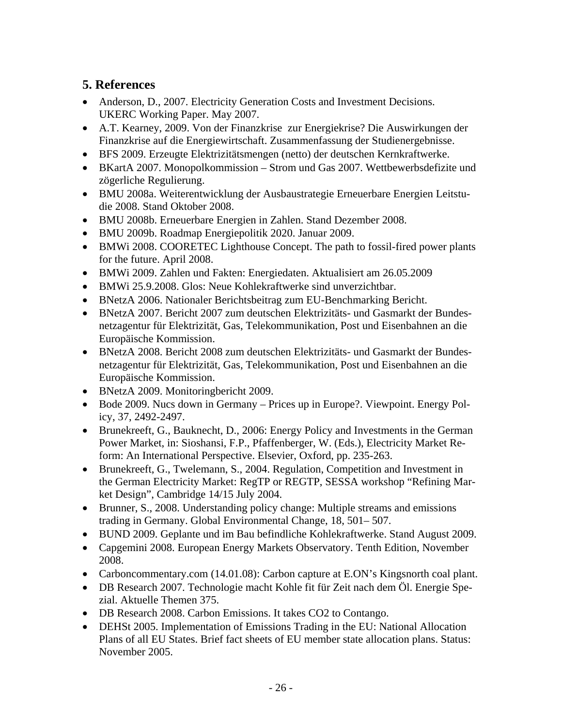# **5. References**

- Anderson, D., 2007. Electricity Generation Costs and Investment Decisions. UKERC Working Paper. May 2007.
- A.T. Kearney, 2009. Von der Finanzkrise zur Energiekrise? Die Auswirkungen der Finanzkrise auf die Energiewirtschaft. Zusammenfassung der Studienergebnisse.
- BFS 2009. Erzeugte Elektrizitätsmengen (netto) der deutschen Kernkraftwerke.
- BKartA 2007. Monopolkommission Strom und Gas 2007. Wettbewerbsdefizite und zögerliche Regulierung.
- BMU 2008a. Weiterentwicklung der Ausbaustrategie Erneuerbare Energien Leitstudie 2008. Stand Oktober 2008.
- BMU 2008b. Erneuerbare Energien in Zahlen. Stand Dezember 2008.
- BMU 2009b. Roadmap Energiepolitik 2020. Januar 2009.
- BMWi 2008. COORETEC Lighthouse Concept. The path to fossil-fired power plants for the future. April 2008.
- BMWi 2009. Zahlen und Fakten: Energiedaten. Aktualisiert am 26.05.2009
- BMWi 25.9.2008. Glos: Neue Kohlekraftwerke sind unverzichtbar.
- BNetzA 2006. Nationaler Berichtsbeitrag zum EU-Benchmarking Bericht.
- BNetzA 2007. Bericht 2007 zum deutschen Elektrizitäts- und Gasmarkt der Bundesnetzagentur für Elektrizität, Gas, Telekommunikation, Post und Eisenbahnen an die Europäische Kommission.
- BNetzA 2008. Bericht 2008 zum deutschen Elektrizitäts- und Gasmarkt der Bundesnetzagentur für Elektrizität, Gas, Telekommunikation, Post und Eisenbahnen an die Europäische Kommission.
- BNetzA 2009. Monitoringbericht 2009.
- Bode 2009. Nucs down in Germany Prices up in Europe?. Viewpoint. Energy Policy, 37, 2492-2497.
- Brunekreeft, G., Bauknecht, D., 2006: Energy Policy and Investments in the German Power Market, in: Sioshansi, F.P., Pfaffenberger, W. (Eds.), Electricity Market Reform: An International Perspective. Elsevier, Oxford, pp. 235-263.
- Brunekreeft, G., Twelemann, S., 2004. Regulation, Competition and Investment in the German Electricity Market: RegTP or REGTP, SESSA workshop "Refining Market Design", Cambridge 14/15 July 2004.
- Brunner, S., 2008. Understanding policy change: Multiple streams and emissions trading in Germany. Global Environmental Change, 18, 501– 507.
- BUND 2009. Geplante und im Bau befindliche Kohlekraftwerke. Stand August 2009.
- Capgemini 2008. European Energy Markets Observatory. Tenth Edition, November 2008.
- Carboncommentary.com (14.01.08): Carbon capture at E.ON's Kingsnorth coal plant.
- DB Research 2007. Technologie macht Kohle fit für Zeit nach dem Öl. Energie Spezial. Aktuelle Themen 375.
- DB Research 2008. Carbon Emissions. It takes CO2 to Contango.
- DEHSt 2005. Implementation of Emissions Trading in the EU: National Allocation Plans of all EU States. Brief fact sheets of EU member state allocation plans. Status: November 2005.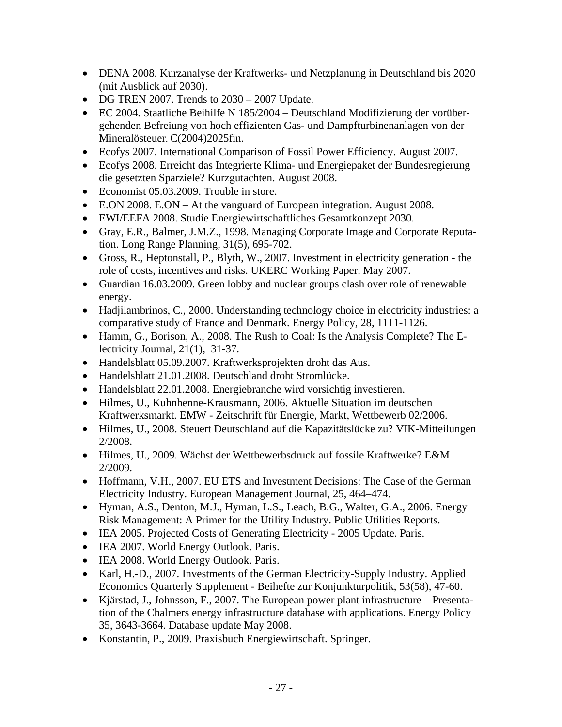- DENA 2008. Kurzanalyse der Kraftwerks- und Netzplanung in Deutschland bis 2020 (mit Ausblick auf 2030).
- DG TREN 2007. Trends to  $2030 2007$  Update.
- EC 2004. Staatliche Beihilfe N 185/2004 Deutschland Modifizierung der vorübergehenden Befreiung von hoch effizienten Gas- und Dampfturbinenanlagen von der Mineralösteuer. C(2004)2025fin.
- Ecofys 2007. International Comparison of Fossil Power Efficiency. August 2007.
- Ecofys 2008. Erreicht das Integrierte Klima- und Energiepaket der Bundesregierung die gesetzten Sparziele? Kurzgutachten. August 2008.
- Economist 05.03.2009. Trouble in store.
- E.ON 2008. E.ON At the vanguard of European integration. August 2008.
- EWI/EEFA 2008. Studie Energiewirtschaftliches Gesamtkonzept 2030.
- Gray, E.R., Balmer, J.M.Z., 1998. Managing Corporate Image and Corporate Reputation. Long Range Planning, 31(5), 695-702.
- Gross, R., Heptonstall, P., Blyth, W., 2007. Investment in electricity generation the role of costs, incentives and risks. UKERC Working Paper. May 2007.
- Guardian 16.03.2009. Green lobby and nuclear groups clash over role of renewable energy.
- Hadjilambrinos, C., 2000. Understanding technology choice in electricity industries: a comparative study of France and Denmark. Energy Policy, 28, 1111-1126.
- Hamm, G., Borison, A., 2008. The Rush to Coal: Is the Analysis Complete? The Electricity Journal, 21(1), 31-37.
- Handelsblatt 05.09.2007. Kraftwerksprojekten droht das Aus.
- Handelsblatt 21.01.2008. Deutschland droht Stromlücke.
- Handelsblatt 22.01.2008. Energiebranche wird vorsichtig investieren.
- Hilmes, U., Kuhnhenne-Krausmann, 2006. Aktuelle Situation im deutschen Kraftwerksmarkt. EMW - Zeitschrift für Energie, Markt, Wettbewerb 02/2006.
- Hilmes, U., 2008. Steuert Deutschland auf die Kapazitätslücke zu? VIK-Mitteilungen 2/2008.
- Hilmes, U., 2009. Wächst der Wettbewerbsdruck auf fossile Kraftwerke? E&M 2/2009.
- Hoffmann, V.H., 2007. EU ETS and Investment Decisions: The Case of the German Electricity Industry. European Management Journal, 25, 464–474.
- Hyman, A.S., Denton, M.J., Hyman, L.S., Leach, B.G., Walter, G.A., 2006. Energy Risk Management: A Primer for the Utility Industry. Public Utilities Reports.
- IEA 2005. Projected Costs of Generating Electricity 2005 Update. Paris.
- IEA 2007. World Energy Outlook. Paris.
- IEA 2008. World Energy Outlook. Paris.
- Karl, H.-D., 2007. Investments of the German Electricity-Supply Industry. Applied Economics Quarterly Supplement - Beihefte zur Konjunkturpolitik, 53(58), 47-60.
- Kjärstad, J., Johnsson, F., 2007. The European power plant infrastructure Presentation of the Chalmers energy infrastructure database with applications. Energy Policy 35, 3643-3664. Database update May 2008.
- Konstantin, P., 2009. Praxisbuch Energiewirtschaft. Springer.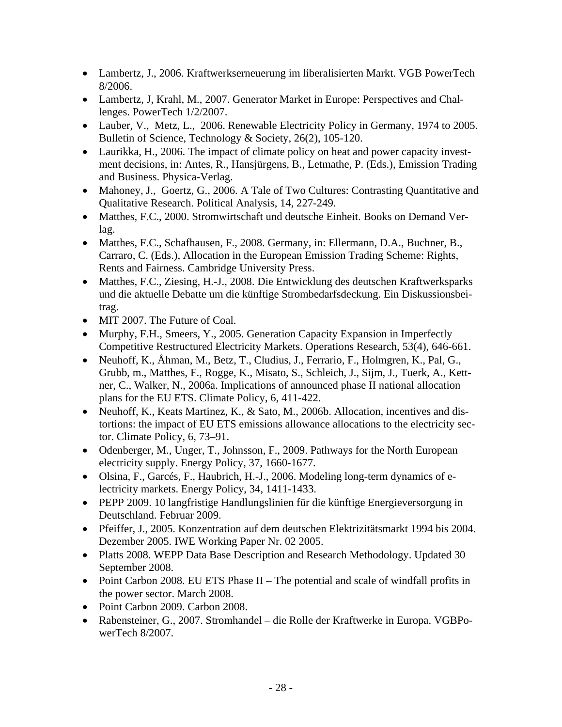- Lambertz, J., 2006. Kraftwerkserneuerung im liberalisierten Markt. VGB PowerTech 8/2006.
- Lambertz, J, Krahl, M., 2007. Generator Market in Europe: Perspectives and Challenges. PowerTech 1/2/2007.
- Lauber, V., Metz, L., 2006. Renewable Electricity Policy in Germany, 1974 to 2005. Bulletin of Science, Technology & Society, 26(2), 105-120.
- Laurikka, H., 2006. The impact of climate policy on heat and power capacity investment decisions, in: Antes, R., Hansjürgens, B., Letmathe, P. (Eds.), Emission Trading and Business. Physica-Verlag.
- Mahoney, J., Goertz, G., 2006. A Tale of Two Cultures: Contrasting Quantitative and Qualitative Research. Political Analysis, 14, 227-249.
- Matthes, F.C., 2000. Stromwirtschaft und deutsche Einheit. Books on Demand Verlag.
- Matthes, F.C., Schafhausen, F., 2008. Germany, in: Ellermann, D.A., Buchner, B., Carraro, C. (Eds.), Allocation in the European Emission Trading Scheme: Rights, Rents and Fairness. Cambridge University Press.
- Matthes, F.C., Ziesing, H.-J., 2008. Die Entwicklung des deutschen Kraftwerksparks und die aktuelle Debatte um die künftige Strombedarfsdeckung. Ein Diskussionsbeitrag.
- MIT 2007. The Future of Coal.
- Murphy, F.H., Smeers, Y., 2005. Generation Capacity Expansion in Imperfectly Competitive Restructured Electricity Markets. Operations Research, 53(4), 646-661.
- Neuhoff, K., Åhman, M., Betz, T., Cludius, J., Ferrario, F., Holmgren, K., Pal, G., Grubb, m., Matthes, F., Rogge, K., Misato, S., Schleich, J., Sijm, J., Tuerk, A., Kettner, C., Walker, N., 2006a. Implications of announced phase II national allocation plans for the EU ETS. Climate Policy, 6, 411-422.
- Neuhoff, K., Keats Martinez, K., & Sato, M., 2006b. Allocation, incentives and distortions: the impact of EU ETS emissions allowance allocations to the electricity sector. Climate Policy, 6, 73–91.
- Odenberger, M., Unger, T., Johnsson, F., 2009. Pathways for the North European electricity supply. Energy Policy, 37, 1660-1677.
- Olsina, F., Garcés, F., Haubrich, H.-J., 2006. Modeling long-term dynamics of electricity markets. Energy Policy, 34, 1411-1433.
- PEPP 2009. 10 langfristige Handlungslinien für die künftige Energieversorgung in Deutschland. Februar 2009.
- Pfeiffer, J., 2005. Konzentration auf dem deutschen Elektrizitätsmarkt 1994 bis 2004. Dezember 2005. IWE Working Paper Nr. 02 2005.
- Platts 2008. WEPP Data Base Description and Research Methodology. Updated 30 September 2008.
- Point Carbon 2008. EU ETS Phase II The potential and scale of windfall profits in the power sector. March 2008.
- Point Carbon 2009. Carbon 2008.
- Rabensteiner, G., 2007. Stromhandel die Rolle der Kraftwerke in Europa. VGBPowerTech 8/2007.